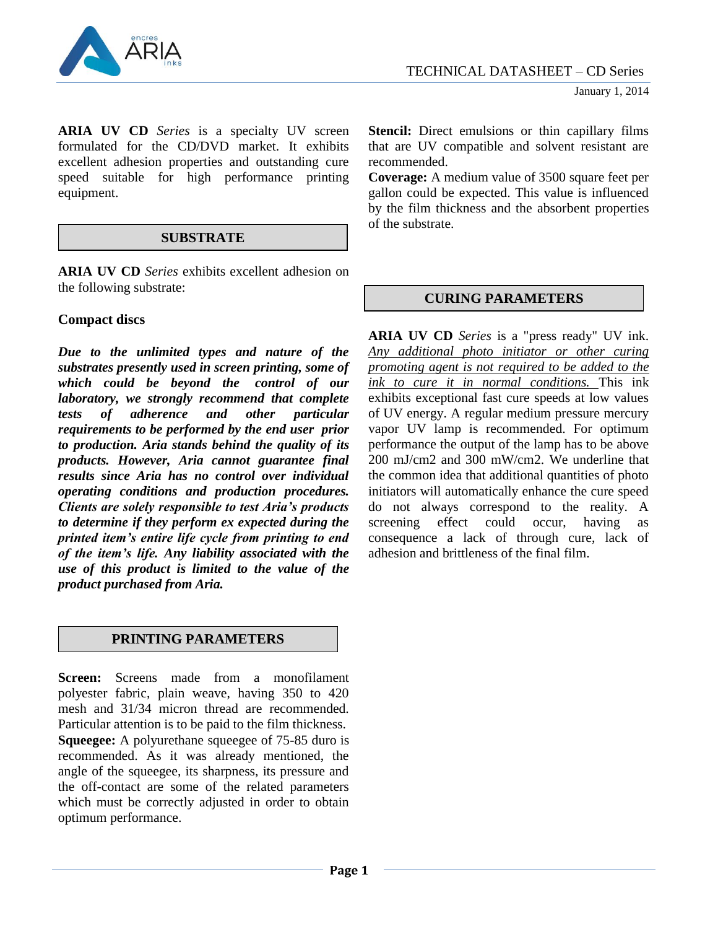

**ARIA UV CD** *Series* is a specialty UV screen formulated for the CD/DVD market. It exhibits excellent adhesion properties and outstanding cure speed suitable for high performance printing equipment.

### **SUBSTRATE**

**ARIA UV CD** *Series* exhibits excellent adhesion on the following substrate:

# **Compact discs**

*Due to the unlimited types and nature of the substrates presently used in screen printing, some of which could be beyond the control of our laboratory, we strongly recommend that complete tests of adherence and other particular requirements to be performed by the end user prior to production. Aria stands behind the quality of its products. However, Aria cannot guarantee final results since Aria has no control over individual operating conditions and production procedures. Clients are solely responsible to test Aria's products to determine if they perform ex expected during the printed item's entire life cycle from printing to end of the item's life. Any liability associated with the use of this product is limited to the value of the product purchased from Aria.*

# **PRINTING PARAMETERS**

**Screen:** Screens made from a monofilament polyester fabric, plain weave, having 350 to 420 mesh and 31/34 micron thread are recommended. Particular attention is to be paid to the film thickness. **Squeegee:** A polyurethane squeegee of 75-85 duro is recommended. As it was already mentioned, the angle of the squeegee, its sharpness, its pressure and the off-contact are some of the related parameters which must be correctly adjusted in order to obtain optimum performance.

**Stencil:** Direct emulsions or thin capillary films that are UV compatible and solvent resistant are recommended.

**Coverage:** A medium value of 3500 square feet per gallon could be expected. This value is influenced by the film thickness and the absorbent properties of the substrate.

## **CURING PARAMETERS**

**ARIA UV CD** *Series* is a "press ready" UV ink. *Any additional photo initiator or other curing promoting agent is not required to be added to the ink to cure it in normal conditions.* This ink exhibits exceptional fast cure speeds at low values of UV energy. A regular medium pressure mercury vapor UV lamp is recommended. For optimum performance the output of the lamp has to be above 200 mJ/cm2 and 300 mW/cm2. We underline that the common idea that additional quantities of photo initiators will automatically enhance the cure speed do not always correspond to the reality. A screening effect could occur, having as consequence a lack of through cure, lack of adhesion and brittleness of the final film.